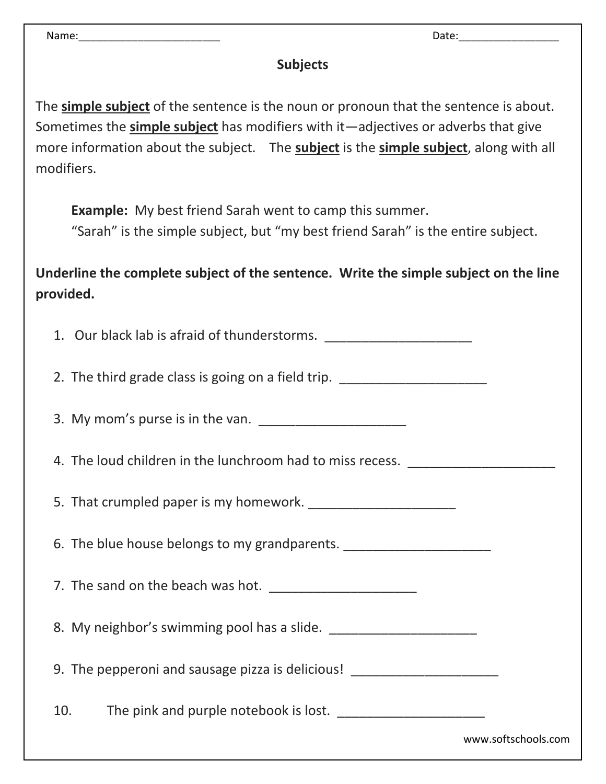Name:\_\_\_\_\_\_\_\_\_\_\_\_\_\_\_\_\_\_\_\_\_\_\_\_ Date:\_\_\_\_\_\_\_\_\_\_\_\_\_\_\_\_\_

## **Subjects**

The **simple subject** of the sentence is the noun or pronoun that the sentence is about. Sometimes the **simple subject** has modifiers with it—adjectives or adverbs that give more information about the subject. The **subject** is the **simple subject**, along with all modifiers.

**Example:** My best friend Sarah went to camp this summer.

"Sarah" is the simple subject, but "my best friend Sarah" is the entire subject.

**Underline the complete subject of the sentence. Write the simple subject on the line provided.**

| 1. Our black lab is afraid of thunderstorms. ___________________________________ |                     |
|----------------------------------------------------------------------------------|---------------------|
| 2. The third grade class is going on a field trip. _____________________________ |                     |
| 3. My mom's purse is in the van.                                                 |                     |
| 4. The loud children in the lunchroom had to miss recess. ______________________ |                     |
|                                                                                  |                     |
| 6. The blue house belongs to my grandparents. __________________________________ |                     |
|                                                                                  |                     |
|                                                                                  |                     |
| 9. The pepperoni and sausage pizza is delicious! _______________________________ |                     |
| 10.                                                                              |                     |
|                                                                                  | www.softschools.com |